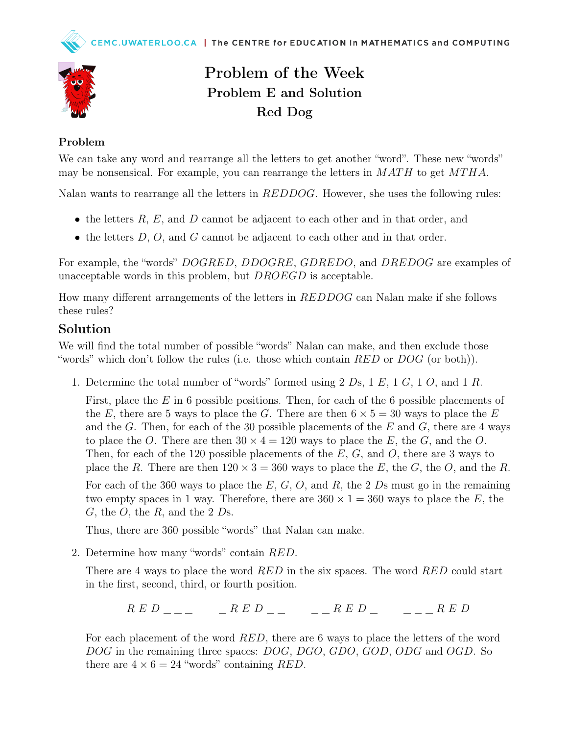

## Problem of the Week Problem E and Solution Red Dog

## Problem

We can take any word and rearrange all the letters to get another "word". These new "words" may be nonsensical. For example, you can rearrange the letters in  $MATH$  to get  $MTHA$ .

Nalan wants to rearrange all the letters in REDDOG. However, she uses the following rules:

- the letters  $R$ ,  $E$ , and  $D$  cannot be adjacent to each other and in that order, and
- the letters  $D, O$ , and  $G$  cannot be adjacent to each other and in that order.

For example, the "words" DOGRED, DDOGRE, GDREDO, and DREDOG are examples of unacceptable words in this problem, but *DROEGD* is acceptable.

How many different arrangements of the letters in REDDOG can Nalan make if she follows these rules?

## Solution

We will find the total number of possible "words" Nalan can make, and then exclude those "words" which don't follow the rules (i.e. those which contain  $RED$  or  $DOG$  (or both)).

1. Determine the total number of "words" formed using 2 Ds, 1 E, 1 G, 1 O, and 1 R.

First, place the E in 6 possible positions. Then, for each of the 6 possible placements of the E, there are 5 ways to place the G. There are then  $6 \times 5 = 30$  ways to place the E and the G. Then, for each of the 30 possible placements of the  $E$  and  $G$ , there are 4 ways to place the O. There are then  $30 \times 4 = 120$  ways to place the E, the G, and the O. Then, for each of the 120 possible placements of the  $E, G$ , and  $O$ , there are 3 ways to place the R. There are then  $120 \times 3 = 360$  ways to place the E, the G, the O, and the R. For each of the 360 ways to place the  $E, G, O$ , and  $R$ , the 2  $Ds$  must go in the remaining two empty spaces in 1 way. Therefore, there are  $360 \times 1 = 360$  ways to place the E, the  $G$ , the  $O$ , the  $R$ , and the 2  $Ds$ .

Thus, there are 360 possible "words" that Nalan can make.

2. Determine how many "words" contain RED.

There are 4 ways to place the word RED in the six spaces. The word RED could start in the first, second, third, or fourth position.

 $R E D \quad \text{and} \quad R E D \quad \text{and} \quad R E D \quad \text{and} \quad R E D \quad \text{and} \quad R E D$ 

For each placement of the word RED, there are 6 ways to place the letters of the word DOG in the remaining three spaces: DOG, DGO, GDO, GOD, ODG and OGD. So there are  $4 \times 6 = 24$  "words" containing RED.